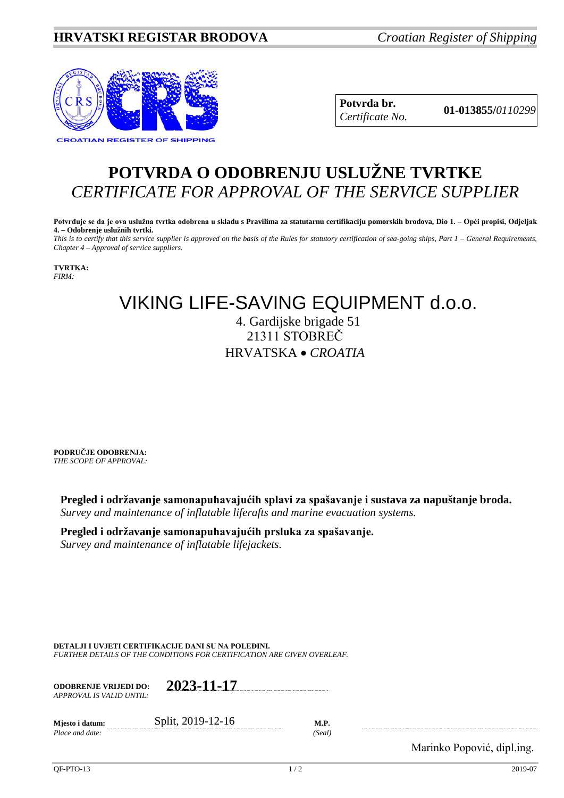

**Potvrda br. 01-013855/***<sup>0110299</sup> Certificate No.*

## **POTVRDA O ODOBRENJU USLUŽNE TVRTKE** *CERTIFICATE FOR APPROVAL OF THE SERVICE SUPPLIER*

**Potvrđuje se da je ova uslužna tvrtka odobrena u skladu s Pravilima za statutarnu certifikaciju pomorskih brodova, Dio 1. – Opći propisi, Odjeljak 4. – Odobrenje uslužnih tvrtki.**

*This is to certify that this service supplier is approved on the basis of the Rules for statutory certification of sea-going ships, Part 1 – General Requirements, Chapter 4 – Approval of service suppliers.*

**TVRTKA:** *FIRM:*

## VIKING LIFE-SAVING EQUIPMENT d.o.o.

4. Gardijske brigade 51 21311 STOBREČ HRVATSKA • *CROATIA*

**PODRUČJE ODOBRENJA:** *THE SCOPE OF APPROVAL:*

**Pregled i održavanje samonapuhavajućih splavi za spašavanje i sustava za napuštanje broda.** *Survey and maintenance of inflatable liferafts and marine evacuation systems.*

## **Pregled i održavanje samonapuhavajućih prsluka za spašavanje.**

*Survey and maintenance of inflatable lifejackets.*

**DETALJI I UVJETI CERTIFIKACIJE DANI SU NA POLEĐINI.**

*FURTHER DETAILS OF THE CONDITIONS FOR CERTIFICATION ARE GIVEN OVERLEAF.*

| <b>ODOBRENJE VRIJEDI DO:</b><br>APPROVAL IS VALID UNTIL:- | 2023-11-17 |
|-----------------------------------------------------------|------------|
|                                                           |            |

| Miesto i datum: | Split, 2019-12-16 | <b>M.P.</b> |
|-----------------|-------------------|-------------|
| Place and date: |                   | 'Seal       |

Marinko Popović, dipl.ing.